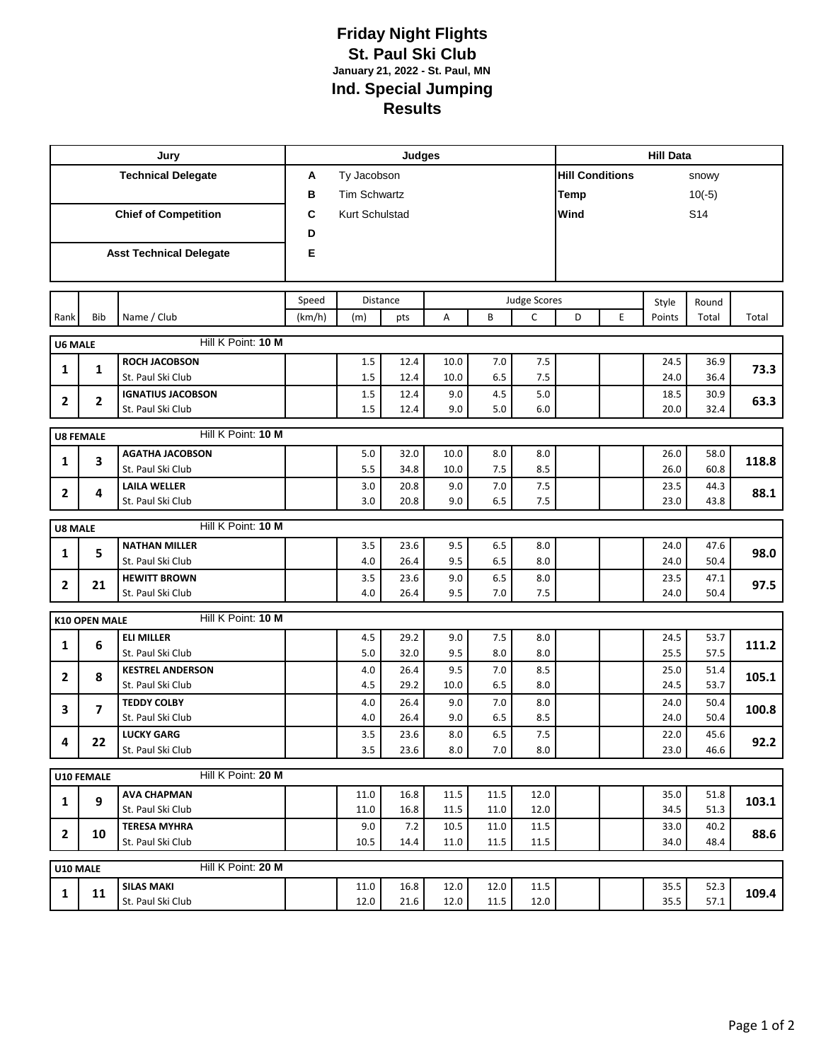## **Friday Night Flights St. Paul Ski Club January 21, 2022 - St. Paul, MN Ind. Special Jumping Results**

|                                         |                      | Jury                                          | Judges          |                     |              |             |            |                                     |                        | <b>Hill Data</b>        |                 |                |       |  |  |
|-----------------------------------------|----------------------|-----------------------------------------------|-----------------|---------------------|--------------|-------------|------------|-------------------------------------|------------------------|-------------------------|-----------------|----------------|-------|--|--|
| <b>Technical Delegate</b>               |                      |                                               | A               | Ty Jacobson         |              |             |            |                                     | <b>Hill Conditions</b> |                         |                 | snowy          |       |  |  |
|                                         |                      |                                               | в               | <b>Tim Schwartz</b> |              |             |            |                                     | Temp                   |                         |                 | $10(-5)$       |       |  |  |
|                                         |                      | <b>Chief of Competition</b>                   | C               | Kurt Schulstad      |              |             |            |                                     |                        | Wind<br>S <sub>14</sub> |                 |                |       |  |  |
|                                         |                      |                                               | D               |                     |              |             |            |                                     |                        |                         |                 |                |       |  |  |
| <b>Asst Technical Delegate</b>          |                      |                                               | Е               |                     |              |             |            |                                     |                        |                         |                 |                |       |  |  |
|                                         |                      |                                               |                 |                     |              |             |            |                                     |                        |                         |                 |                |       |  |  |
|                                         |                      |                                               | Distance        |                     |              |             |            |                                     |                        |                         |                 |                |       |  |  |
| Rank                                    | <b>Bib</b>           | Name / Club                                   | Speed<br>(km/h) | (m)                 | pts          | A           | B          | <b>Judge Scores</b><br>$\mathsf{C}$ | D                      | E                       | Style<br>Points | Round<br>Total | Total |  |  |
|                                         |                      |                                               |                 |                     |              |             |            |                                     |                        |                         |                 |                |       |  |  |
| <b>U6 MALE</b>                          |                      | Hill K Point: 10 M                            |                 |                     |              |             |            |                                     |                        |                         |                 |                |       |  |  |
| 1                                       | 1                    | <b>ROCH JACOBSON</b>                          |                 | 1.5                 | 12.4         | 10.0        | 7.0        | 7.5                                 |                        |                         | 24.5            | 36.9           | 73.3  |  |  |
|                                         |                      | St. Paul Ski Club                             |                 | 1.5                 | 12.4         | 10.0        | 6.5        | 7.5                                 |                        |                         | 24.0            | 36.4           |       |  |  |
| $\mathbf{2}$                            | 2                    | <b>IGNATIUS JACOBSON</b><br>St. Paul Ski Club |                 | 1.5<br>1.5          | 12.4<br>12.4 | 9.0<br>9.0  | 4.5<br>5.0 | 5.0<br>6.0                          |                        |                         | 18.5<br>20.0    | 30.9<br>32.4   | 63.3  |  |  |
|                                         |                      |                                               |                 |                     |              |             |            |                                     |                        |                         |                 |                |       |  |  |
| Hill K Point: 10 M<br><b>U8 FEMALE</b>  |                      |                                               |                 |                     |              |             |            |                                     |                        |                         |                 |                |       |  |  |
| 1                                       | 3                    | <b>AGATHA JACOBSON</b>                        |                 | 5.0                 | 32.0         | 10.0        | 8.0        | 8.0                                 |                        |                         | 26.0            | 58.0           | 118.8 |  |  |
|                                         |                      | St. Paul Ski Club                             |                 | 5.5                 | 34.8         | 10.0        | 7.5        | 8.5                                 |                        |                         | 26.0            | 60.8           |       |  |  |
| 2                                       | 4                    | <b>LAILA WELLER</b><br>St. Paul Ski Club      |                 | 3.0<br>3.0          | 20.8<br>20.8 | 9.0<br>9.0  | 7.0<br>6.5 | 7.5<br>7.5                          |                        |                         | 23.5<br>23.0    | 44.3<br>43.8   | 88.1  |  |  |
|                                         |                      |                                               |                 |                     |              |             |            |                                     |                        |                         |                 |                |       |  |  |
| Hill K Point: 10 M<br><b>U8 MALE</b>    |                      |                                               |                 |                     |              |             |            |                                     |                        |                         |                 |                |       |  |  |
| 1                                       | 5                    | <b>NATHAN MILLER</b>                          |                 | 3.5                 | 23.6         | 9.5         | 6.5        | 8.0                                 |                        |                         | 24.0            | 47.6           | 98.0  |  |  |
|                                         |                      | St. Paul Ski Club                             |                 | 4.0                 | 26.4         | 9.5         | 6.5        | 8.0                                 |                        |                         | 24.0            | 50.4           |       |  |  |
| 2                                       | 21                   | <b>HEWITT BROWN</b><br>St. Paul Ski Club      |                 | 3.5<br>4.0          | 23.6<br>26.4 | 9.0<br>9.5  | 6.5<br>7.0 | 8.0<br>7.5                          |                        |                         | 23.5<br>24.0    | 47.1<br>50.4   | 97.5  |  |  |
|                                         |                      |                                               |                 |                     |              |             |            |                                     |                        |                         |                 |                |       |  |  |
|                                         | <b>K10 OPEN MALE</b> | Hill K Point: 10 M                            |                 |                     |              |             |            |                                     |                        |                         |                 |                |       |  |  |
| 1                                       | 6                    | <b>ELI MILLER</b>                             |                 | 4.5                 | 29.2         | 9.0         | 7.5        | 8.0                                 |                        |                         | 24.5            | 53.7           | 111.2 |  |  |
|                                         |                      | St. Paul Ski Club                             |                 | 5.0                 | 32.0         | 9.5         | 8.0        | 8.0                                 |                        |                         | 25.5            | 57.5           |       |  |  |
| $\mathbf{2}$                            | 8                    | <b>KESTREL ANDERSON</b><br>St. Paul Ski Club  |                 | 4.0<br>4.5          | 26.4<br>29.2 | 9.5<br>10.0 | 7.0<br>6.5 | 8.5<br>8.0                          |                        |                         | 25.0<br>24.5    | 51.4<br>53.7   | 105.1 |  |  |
| 3                                       | 7                    | <b>TEDDY COLBY</b>                            |                 | 4.0                 | 26.4         | 9.0         | 7.0        | 8.0                                 |                        |                         | 24.0            | 50.4           |       |  |  |
|                                         |                      | St. Paul Ski Club                             |                 | 4.0                 | 26.4         | 9.0         | 6.5        | 8.5                                 |                        |                         | 24.0            | 50.4           | 100.8 |  |  |
| 4                                       | 22                   | <b>LUCKY GARG</b>                             |                 | 3.5                 | 23.6         | 8.0         | 6.5        | 7.5                                 |                        |                         | 22.0            | 45.6           |       |  |  |
|                                         |                      | St. Paul Ski Club                             |                 | 3.5                 | 23.6         | 8.0         | 7.0        | 8.0                                 |                        |                         | 23.0            | 46.6           | 92.2  |  |  |
| Hill K Point: 20 M<br><b>U10 FEMALE</b> |                      |                                               |                 |                     |              |             |            |                                     |                        |                         |                 |                |       |  |  |
|                                         | 9                    | <b>AVA CHAPMAN</b>                            |                 | 11.0                | 16.8         | 11.5        | 11.5       | 12.0                                |                        |                         | 35.0            | 51.8           |       |  |  |
| 1                                       |                      | St. Paul Ski Club                             |                 | 11.0                | 16.8         | 11.5        | 11.0       | 12.0                                |                        |                         | 34.5            | 51.3           | 103.1 |  |  |
| $\mathbf{2}$                            | 10                   | <b>TERESA MYHRA</b>                           |                 | 9.0                 | 7.2          | 10.5        | 11.0       | 11.5                                |                        |                         | 33.0            | 40.2           | 88.6  |  |  |
|                                         |                      | St. Paul Ski Club                             |                 | 10.5                | 14.4         | 11.0        | 11.5       | 11.5                                |                        |                         | 34.0            | 48.4           |       |  |  |
| Hill K Point: 20 M<br>U10 MALE          |                      |                                               |                 |                     |              |             |            |                                     |                        |                         |                 |                |       |  |  |
| 1                                       | 11                   | <b>SILAS MAKI</b>                             |                 | 11.0                | 16.8         | 12.0        | 12.0       | 11.5                                |                        |                         | 35.5            | 52.3           |       |  |  |
|                                         |                      | St. Paul Ski Club                             |                 | 12.0                | 21.6         | 12.0        | $11.5\,$   | 12.0                                |                        |                         | 35.5            | 57.1           | 109.4 |  |  |
|                                         |                      |                                               |                 |                     |              |             |            |                                     |                        |                         |                 |                |       |  |  |